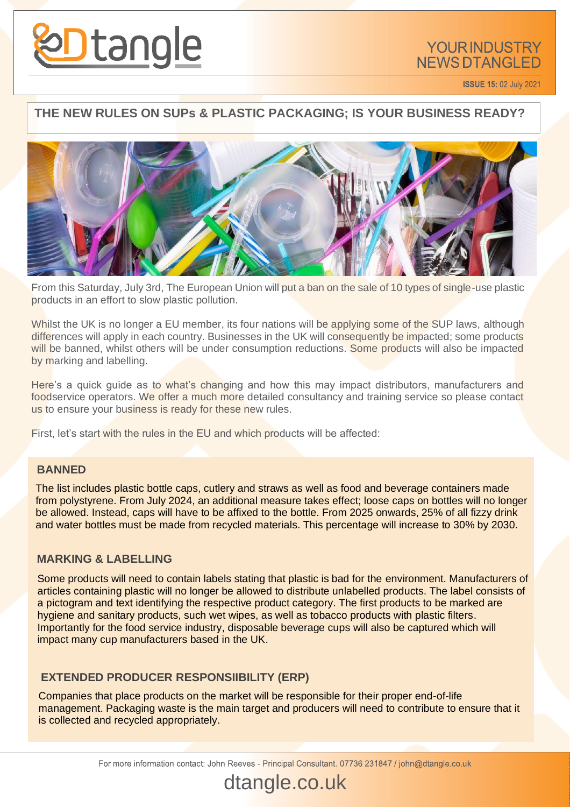

**ISSUE 15: 02 July 2021** 

## **THE NEW RULES ON SUPs & PLASTIC PACKAGING; IS YOUR BUSINESS READY?**



From this Saturday, July 3rd, The European Union will put a ban on the sale of 10 types of single-use plastic products in an effort to slow plastic pollution.

Whilst the UK is no longer a EU member, its four nations will be applying some of the SUP laws, although differences will apply in each country. Businesses in the UK will consequently be impacted; some products will be banned, whilst others will be under consumption reductions. Some products will also be impacted by marking and labelling.

Here's a quick guide as to what's changing and how this may impact distributors, manufacturers and foodservice operators. We offer a much more detailed consultancy and training service so please contact us to ensure your business is ready for these new rules.

First, let's start with the rules in the EU and which products will be affected:

#### **BANNED**

The list includes plastic bottle caps, cutlery and straws as well as food and beverage containers made from polystyrene. From July 2024, an additional measure takes effect; loose caps on bottles will no longer be allowed. Instead, caps will have to be affixed to the bottle. From 2025 onwards, 25% of all fizzy drink and water bottles must be made from recycled materials. This percentage will increase to 30% by 2030.

#### **MARKING & LABELLING**

Some products will need to contain labels stating that plastic is bad for the environment. Manufacturers of articles containing plastic will no longer be allowed to distribute unlabelled products. The label consists of a pictogram and text identifying the respective product category. The first products to be marked are hygiene and sanitary products, such wet wipes, as well as tobacco products with plastic filters. Importantly for the food service industry, disposable beverage cups will also be captured which will impact many cup manufacturers based in the UK.

### **EXTENDED PRODUCER RESPONSIIBILITY (ERP)**

Companies that place products on the market will be responsible for their proper end-of-life management. Packaging waste is the main target and producers will need to contribute to ensure that it is collected and recycled appropriately.